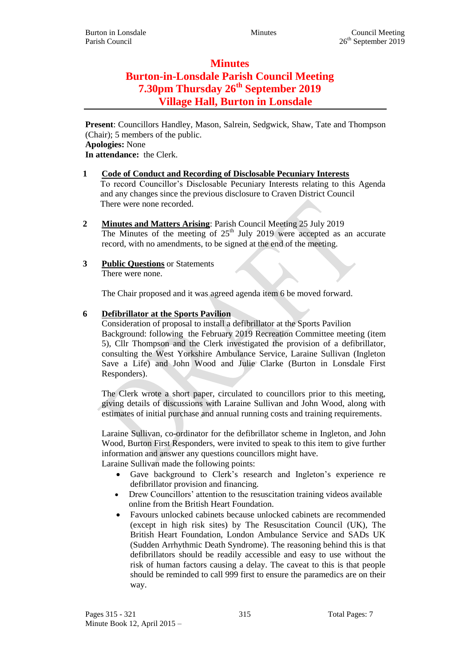# **Minutes Burton-in-Lonsdale Parish Council Meeting 7.30pm Thursday 26th September 2019 Village Hall, Burton in Lonsdale**

**Present**: Councillors Handley, Mason, Salrein, Sedgwick, Shaw, Tate and Thompson (Chair); 5 members of the public. **Apologies:** None **In attendance:** the Clerk.

- **1 Code of Conduct and Recording of Disclosable Pecuniary Interests** To record Councillor's Disclosable Pecuniary Interests relating to this Agenda and any changes since the previous disclosure to Craven District Council There were none recorded.
- **2 Minutes and Matters Arising**: Parish Council Meeting 25 July 2019 The Minutes of the meeting of  $25<sup>th</sup>$  July 2019 were accepted as an accurate record, with no amendments, to be signed at the end of the meeting.
- **3 Public Questions** or Statements There were none.

The Chair proposed and it was agreed agenda item 6 be moved forward.

## **6 Defibrillator at the Sports Pavilion**

Consideration of proposal to install a defibrillator at the Sports Pavilion Background: following the February 2019 Recreation Committee meeting (item 5), Cllr Thompson and the Clerk investigated the provision of a defibrillator, consulting the West Yorkshire Ambulance Service, Laraine Sullivan (Ingleton Save a Life) and John Wood and Julie Clarke (Burton in Lonsdale First Responders).

The Clerk wrote a short paper, circulated to councillors prior to this meeting, giving details of discussions with Laraine Sullivan and John Wood, along with estimates of initial purchase and annual running costs and training requirements.

Laraine Sullivan, co-ordinator for the defibrillator scheme in Ingleton, and John Wood, Burton First Responders, were invited to speak to this item to give further information and answer any questions councillors might have. Laraine Sullivan made the following points:

- Gave background to Clerk's research and Ingleton's experience re defibrillator provision and financing.
- Drew Councillors' attention to the resuscitation training videos available online from the British Heart Foundation.
- Favours unlocked cabinets because unlocked cabinets are recommended (except in high risk sites) by The Resuscitation Council (UK), The British Heart Foundation, London Ambulance Service and SADs UK (Sudden Arrhythmic Death Syndrome). The reasoning behind this is that defibrillators should be readily accessible and easy to use without the risk of human factors causing a delay. The caveat to this is that people should be reminded to call 999 first to ensure the paramedics are on their way.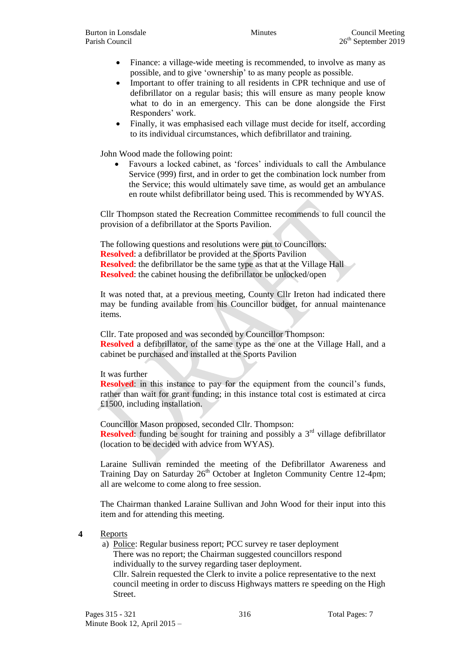- Finance: a village-wide meeting is recommended, to involve as many as possible, and to give 'ownership' to as many people as possible.
- Important to offer training to all residents in CPR technique and use of defibrillator on a regular basis; this will ensure as many people know what to do in an emergency. This can be done alongside the First Responders' work.
- Finally, it was emphasised each village must decide for itself, according to its individual circumstances, which defibrillator and training.

John Wood made the following point:

 Favours a locked cabinet, as 'forces' individuals to call the Ambulance Service (999) first, and in order to get the combination lock number from the Service; this would ultimately save time, as would get an ambulance en route whilst defibrillator being used. This is recommended by WYAS.

Cllr Thompson stated the Recreation Committee recommends to full council the provision of a defibrillator at the Sports Pavilion.

The following questions and resolutions were put to Councillors: **Resolved**: a defibrillator be provided at the Sports Pavilion **Resolved:** the defibrillator be the same type as that at the Village Hall **Resolved**: the cabinet housing the defibrillator be unlocked/open

It was noted that, at a previous meeting, County Cllr Ireton had indicated there may be funding available from his Councillor budget, for annual maintenance items.

Cllr. Tate proposed and was seconded by Councillor Thompson: **Resolved** a defibrillator, of the same type as the one at the Village Hall, and a cabinet be purchased and installed at the Sports Pavilion

#### It was further

**Resolved**: in this instance to pay for the equipment from the council's funds, rather than wait for grant funding; in this instance total cost is estimated at circa £1500, including installation.

Councillor Mason proposed, seconded Cllr. Thompson: **Resolved:** funding be sought for training and possibly a  $3<sup>rd</sup>$  village defibrillator (location to be decided with advice from WYAS).

Laraine Sullivan reminded the meeting of the Defibrillator Awareness and Training Day on Saturday  $26<sup>th</sup>$  October at Ingleton Community Centre 12-4pm; all are welcome to come along to free session.

The Chairman thanked Laraine Sullivan and John Wood for their input into this item and for attending this meeting.

#### **4** Reports

a) Police: Regular business report; PCC survey re taser deployment There was no report; the Chairman suggested councillors respond individually to the survey regarding taser deployment. Cllr. Salrein requested the Clerk to invite a police representative to the next council meeting in order to discuss Highways matters re speeding on the High

Street.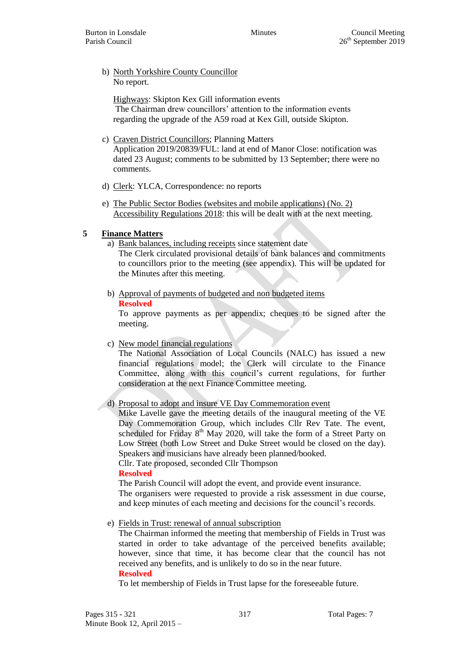#### b) North Yorkshire County Councillor No report.

Highways: Skipton Kex Gill information events The Chairman drew councillors' attention to the information events regarding the upgrade of the A59 road at Kex Gill, outside Skipton.

- c) Craven District Councillors; Planning Matters Application 2019/20839/FUL: land at end of Manor Close: notification was dated 23 August; comments to be submitted by 13 September; there were no comments.
- d) Clerk: YLCA, Correspondence: no reports
- e) The Public Sector Bodies (websites and mobile applications) (No. 2) Accessibility Regulations 2018: this will be dealt with at the next meeting.

## **5 Finance Matters**

- a) Bank balances, including receipts since statement date The Clerk circulated provisional details of bank balances and commitments to councillors prior to the meeting (see appendix). This will be updated for the Minutes after this meeting.
- b) Approval of payments of budgeted and non budgeted items

#### **Resolved**

To approve payments as per appendix; cheques to be signed after the meeting.

c) New model financial regulations

The National Association of Local Councils (NALC) has issued a new financial regulations model; the Clerk will circulate to the Finance Committee, along with this council's current regulations, for further consideration at the next Finance Committee meeting.

## d) Proposal to adopt and insure VE Day Commemoration event

Mike Lavelle gave the meeting details of the inaugural meeting of the VE Day Commemoration Group, which includes Cllr Rev Tate. The event, scheduled for Friday  $8<sup>th</sup>$  May 2020, will take the form of a Street Party on Low Street (both Low Street and Duke Street would be closed on the day). Speakers and musicians have already been planned/booked.

Cllr. Tate proposed, seconded Cllr Thompson

### **Resolved**

The Parish Council will adopt the event, and provide event insurance. The organisers were requested to provide a risk assessment in due course, and keep minutes of each meeting and decisions for the council's records.

e) Fields in Trust: renewal of annual subscription

The Chairman informed the meeting that membership of Fields in Trust was started in order to take advantage of the perceived benefits available; however, since that time, it has become clear that the council has not received any benefits, and is unlikely to do so in the near future. **Resolved**

To let membership of Fields in Trust lapse for the foreseeable future.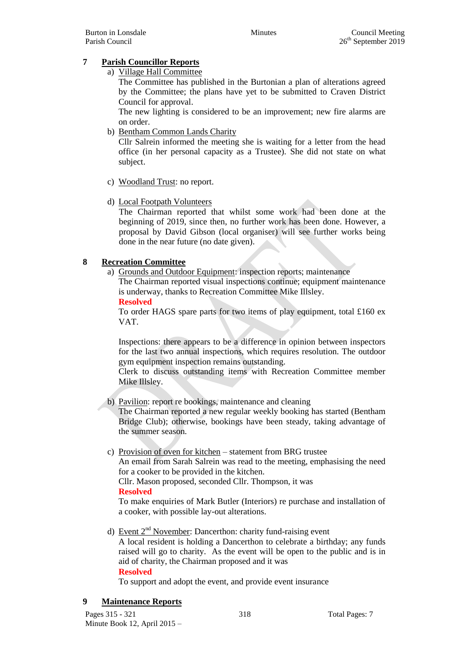## **7 Parish Councillor Reports**

a) Village Hall Committee

The Committee has published in the Burtonian a plan of alterations agreed by the Committee; the plans have yet to be submitted to Craven District Council for approval.

The new lighting is considered to be an improvement; new fire alarms are on order.

b) Bentham Common Lands Charity

Cllr Salrein informed the meeting she is waiting for a letter from the head office (in her personal capacity as a Trustee). She did not state on what subject.

- c) Woodland Trust: no report.
- d) Local Footpath Volunteers

The Chairman reported that whilst some work had been done at the beginning of 2019, since then, no further work has been done. However, a proposal by David Gibson (local organiser) will see further works being done in the near future (no date given).

## **8 Recreation Committee**

a) Grounds and Outdoor Equipment: inspection reports; maintenance

The Chairman reported visual inspections continue; equipment maintenance is underway, thanks to Recreation Committee Mike Illsley.

**Resolved**

To order HAGS spare parts for two items of play equipment, total £160 ex VAT.

Inspections: there appears to be a difference in opinion between inspectors for the last two annual inspections, which requires resolution. The outdoor gym equipment inspection remains outstanding.

Clerk to discuss outstanding items with Recreation Committee member Mike Illsley.

b) Pavilion: report re bookings, maintenance and cleaning

The Chairman reported a new regular weekly booking has started (Bentham Bridge Club); otherwise, bookings have been steady, taking advantage of the summer season.

c) Provision of oven for kitchen – statement from BRG trustee

An email from Sarah Salrein was read to the meeting, emphasising the need for a cooker to be provided in the kitchen.

Cllr. Mason proposed, seconded Cllr. Thompson, it was

#### **Resolved**

To make enquiries of Mark Butler (Interiors) re purchase and installation of a cooker, with possible lay-out alterations.

d) Event 2<sup>nd</sup> November: Dancerthon: charity fund-raising event

A local resident is holding a Dancerthon to celebrate a birthday; any funds raised will go to charity. As the event will be open to the public and is in aid of charity, the Chairman proposed and it was **Resolved**

To support and adopt the event, and provide event insurance

## **9 Maintenance Reports**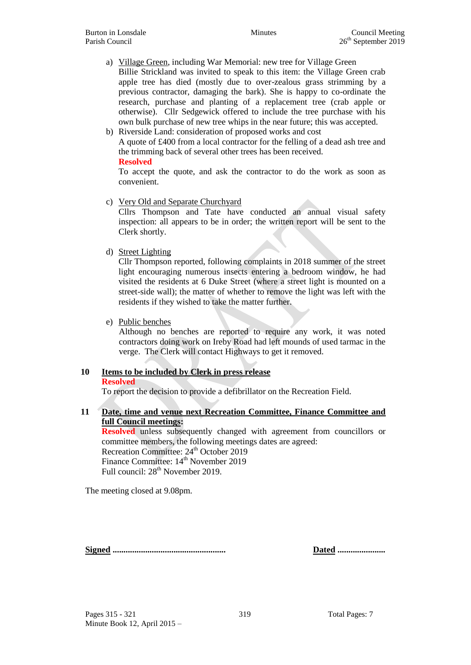a) Village Green, including War Memorial: new tree for Village Green Billie Strickland was invited to speak to this item: the Village Green crab apple tree has died (mostly due to over-zealous grass strimming by a previous contractor, damaging the bark). She is happy to co-ordinate the research, purchase and planting of a replacement tree (crab apple or otherwise). Cllr Sedgewick offered to include the tree purchase with his own bulk purchase of new tree whips in the near future; this was accepted.

b) Riverside Land: consideration of proposed works and cost A quote of £400 from a local contractor for the felling of a dead ash tree and the trimming back of several other trees has been received. **Resolved**

To accept the quote, and ask the contractor to do the work as soon as convenient.

c) Very Old and Separate Churchyard

Cllrs Thompson and Tate have conducted an annual visual safety inspection: all appears to be in order; the written report will be sent to the Clerk shortly.

d) Street Lighting

Cllr Thompson reported, following complaints in 2018 summer of the street light encouraging numerous insects entering a bedroom window, he had visited the residents at 6 Duke Street (where a street light is mounted on a street-side wall); the matter of whether to remove the light was left with the residents if they wished to take the matter further.

e) Public benches

Although no benches are reported to require any work, it was noted contractors doing work on Ireby Road had left mounds of used tarmac in the verge. The Clerk will contact Highways to get it removed.

## **10 Items to be included by Clerk in press release**

#### **Resolved**

To report the decision to provide a defibrillator on the Recreation Field.

## **11 Date, time and venue next Recreation Committee, Finance Committee and full Council meetings:**

**Resolved** unless subsequently changed with agreement from councillors or committee members, the following meetings dates are agreed: Recreation Committee: 24<sup>th</sup> October 2019 Finance Committee: 14<sup>th</sup> November 2019 Full council:  $28<sup>th</sup>$  November 2019.

The meeting closed at 9.08pm.

**Signed .................................................... Dated ......................**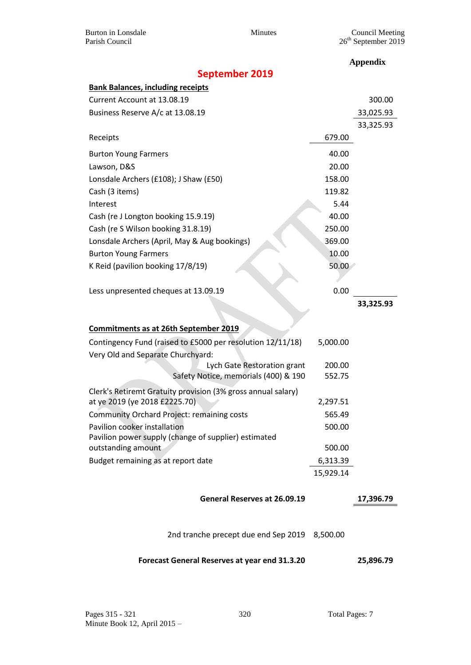Burton in Lonsdale Minutes Council Meeting

|                                                                            |           | <b>Appendix</b> |
|----------------------------------------------------------------------------|-----------|-----------------|
| <b>September 2019</b>                                                      |           |                 |
| <b>Bank Balances, including receipts</b>                                   |           |                 |
| Current Account at 13.08.19                                                |           | 300.00          |
| Business Reserve A/c at 13.08.19                                           |           | 33,025.93       |
|                                                                            |           | 33,325.93       |
| Receipts                                                                   | 679.00    |                 |
| <b>Burton Young Farmers</b>                                                | 40.00     |                 |
| Lawson, D&S                                                                | 20.00     |                 |
| Lonsdale Archers (£108); J Shaw (£50)                                      | 158.00    |                 |
| Cash (3 items)                                                             | 119.82    |                 |
| Interest                                                                   | 5.44      |                 |
| Cash (re J Longton booking 15.9.19)                                        | 40.00     |                 |
| Cash (re S Wilson booking 31.8.19)                                         | 250.00    |                 |
| Lonsdale Archers (April, May & Aug bookings)                               | 369.00    |                 |
| <b>Burton Young Farmers</b>                                                | 10.00     |                 |
| K Reid (pavilion booking 17/8/19)                                          | 50.00     |                 |
|                                                                            |           |                 |
| Less unpresented cheques at 13.09.19                                       | 0.00      |                 |
|                                                                            |           | 33,325.93       |
|                                                                            |           |                 |
| <u>Commitments as at 26th September 2019</u>                               |           |                 |
| Contingency Fund (raised to £5000 per resolution 12/11/18)                 | 5,000.00  |                 |
| Very Old and Separate Churchyard:                                          |           |                 |
| Lych Gate Restoration grant                                                | 200.00    |                 |
| Safety Notice, memorials (400) & 190                                       | 552.75    |                 |
| Clerk's Retiremt Gratuity provision (3% gross annual salary)               |           |                 |
| at ye 2019 (ye 2018 £2225.70)                                              | 2,297.51  |                 |
| <b>Community Orchard Project: remaining costs</b>                          | 565.49    |                 |
| Pavilion cooker installation                                               | 500.00    |                 |
| Pavilion power supply (change of supplier) estimated<br>outstanding amount | 500.00    |                 |
| Budget remaining as at report date                                         | 6,313.39  |                 |
|                                                                            | 15,929.14 |                 |
|                                                                            |           |                 |
| General Reserves at 26.09.19                                               |           | 17,396.79       |
|                                                                            |           |                 |
|                                                                            |           |                 |
| 2nd tranche precept due end Sep 2019 8,500.00                              |           |                 |
| Forecast General Reserves at year end 31.3.20                              |           | 25,896.79       |